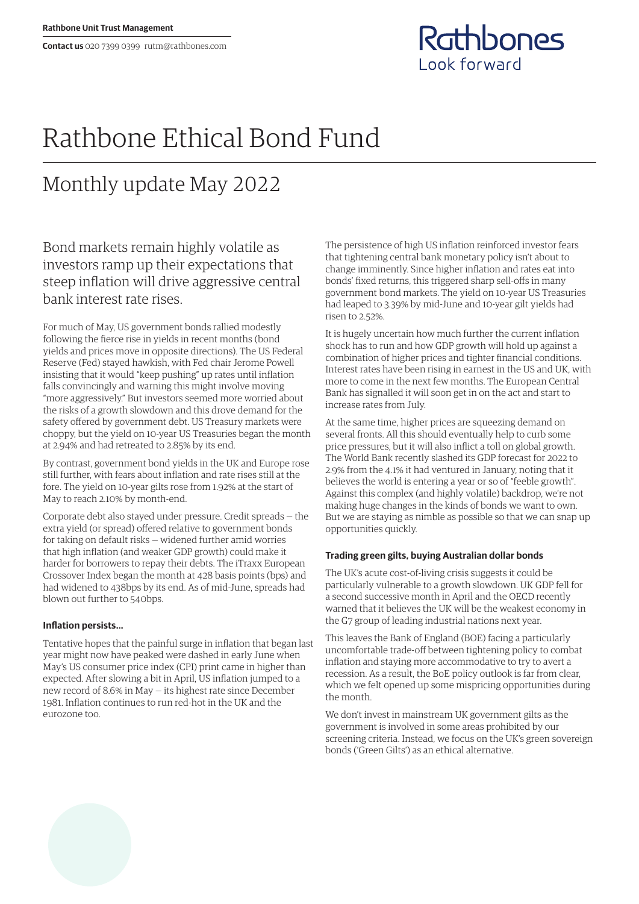

# Rathbone Ethical Bond Fund

## Monthly update May 2022

Bond markets remain highly volatile as investors ramp up their expectations that steep inflation will drive aggressive central bank interest rate rises.

For much of May, US government bonds rallied modestly following the fierce rise in yields in recent months (bond yields and prices move in opposite directions). The US Federal Reserve (Fed) stayed hawkish, with Fed chair Jerome Powell insisting that it would "keep pushing" up rates until inflation falls convincingly and warning this might involve moving "more aggressively." But investors seemed more worried about the risks of a growth slowdown and this drove demand for the safety offered by government debt. US Treasury markets were choppy, but the yield on 10-year US Treasuries began the month at 2.94% and had retreated to 2.85% by its end.

By contrast, government bond yields in the UK and Europe rose still further, with fears about inflation and rate rises still at the fore. The yield on 10-year gilts rose from 1.92% at the start of May to reach 2.10% by month-end.

Corporate debt also stayed under pressure. Credit spreads — the extra yield (or spread) offered relative to government bonds for taking on default risks — widened further amid worries that high inflation (and weaker GDP growth) could make it harder for borrowers to repay their debts. The iTraxx European Crossover Index began the month at 428 basis points (bps) and had widened to 438bps by its end. As of mid-June, spreads had blown out further to 540bps.

### **Inflation persists…**

Tentative hopes that the painful surge in inflation that began last year might now have peaked were dashed in early June when May's US consumer price index (CPI) print came in higher than expected. After slowing a bit in April, US inflation jumped to a new record of 8.6% in May — its highest rate since December 1981. Inflation continues to run red-hot in the UK and the eurozone too.

The persistence of high US inflation reinforced investor fears that tightening central bank monetary policy isn't about to change imminently. Since higher inflation and rates eat into bonds' fixed returns, this triggered sharp sell-offs in many government bond markets. The yield on 10-year US Treasuries had leaped to 3.39% by mid-June and 10-year gilt yields had risen to 2.52%.

It is hugely uncertain how much further the current inflation shock has to run and how GDP growth will hold up against a combination of higher prices and tighter financial conditions. Interest rates have been rising in earnest in the US and UK, with more to come in the next few months. The European Central Bank has signalled it will soon get in on the act and start to increase rates from July.

At the same time, higher prices are squeezing demand on several fronts. All this should eventually help to curb some price pressures, but it will also inflict a toll on global growth. The World Bank recently slashed its GDP forecast for 2022 to 2.9% from the 4.1% it had ventured in January, noting that it believes the world is entering a year or so of "feeble growth". Against this complex (and highly volatile) backdrop, we're not making huge changes in the kinds of bonds we want to own. But we are staying as nimble as possible so that we can snap up opportunities quickly.

### **Trading green gilts, buying Australian dollar bonds**

The UK's acute cost-of-living crisis suggests it could be particularly vulnerable to a growth slowdown. UK GDP fell for a second successive month in April and the OECD recently warned that it believes the UK will be the weakest economy in the G7 group of leading industrial nations next year.

This leaves the Bank of England (BOE) facing a particularly uncomfortable trade-off between tightening policy to combat inflation and staying more accommodative to try to avert a recession. As a result, the BoE policy outlook is far from clear, which we felt opened up some mispricing opportunities during the month.

We don't invest in mainstream UK government gilts as the government is involved in some areas prohibited by our screening criteria. Instead, we focus on the UK's green sovereign bonds ('Green Gilts') as an ethical alternative.